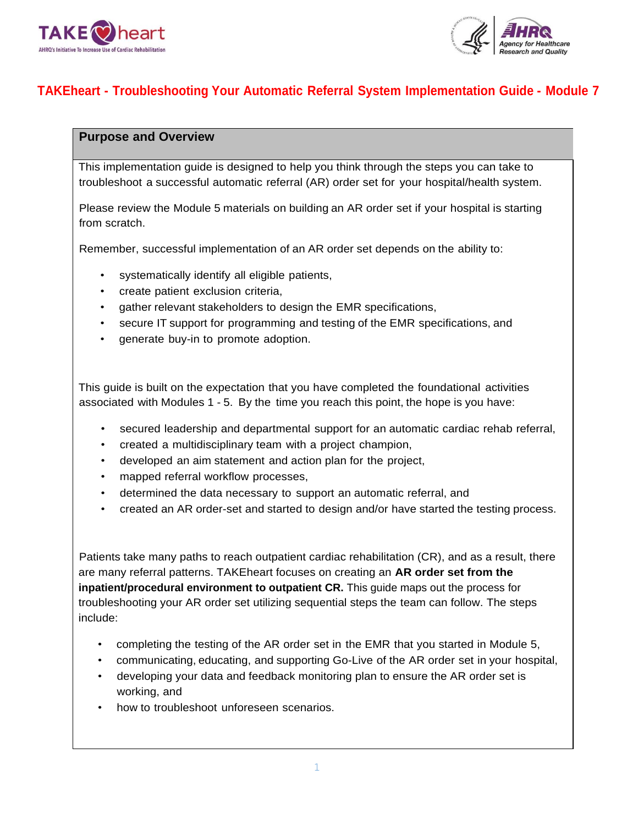



# **TAKEheart - Troubleshooting Your Automatic Referral System Implementation Guide - Module 7**

# **Purpose and Overview**

This implementation guide is designed to help you think through the steps you can take to troubleshoot a successful automatic referral (AR) order set for your hospital/health system.

Please review the Module 5 materials on building an AR order set if your hospital is starting from scratch.

Remember, successful implementation of an AR order set depends on the ability to:

- systematically identify all eligible patients,
- create patient exclusion criteria,
- gather relevant stakeholders to design the EMR specifications,
- secure IT support for programming and testing of the EMR specifications, and
- generate buy-in to promote adoption.

This guide is built on the expectation that you have completed the foundational activities associated with Modules 1 - 5. By the time you reach this point, the hope is you have:

- secured leadership and departmental support for an automatic cardiac rehab referral,
- created a multidisciplinary team with a project champion,
- developed an aim statement and action plan for the project,
- mapped referral workflow processes,
- determined the data necessary to support an automatic referral, and
- created an AR order-set and started to design and/or have started the testing process.

Patients take many paths to reach outpatient cardiac rehabilitation (CR), and as a result, there are many referral patterns. TAKEheart focuses on creating an **AR order set from the inpatient/procedural environment to outpatient CR.** This guide maps out the process for troubleshooting your AR order set utilizing sequential steps the team can follow. The steps include:

- completing the testing of the AR order set in the EMR that you started in Module 5,
- communicating, educating, and supporting Go-Live of the AR order set in your hospital,
- developing your data and feedback monitoring plan to ensure the AR order set is working, and
- how to troubleshoot unforeseen scenarios.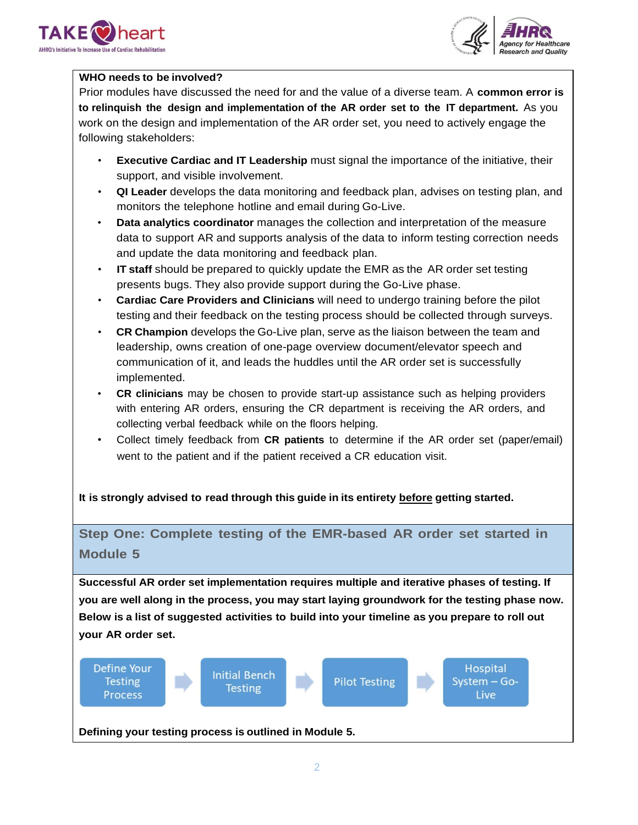



## **WHO needs to be involved?**

Prior modules have discussed the need for and the value of a diverse team. A **common error is to relinquish the design and implementation of the AR order set to the IT department.** As you work on the design and implementation of the AR order set, you need to actively engage the following stakeholders:

- **Executive Cardiac and IT Leadership** must signal the importance of the initiative, their support, and visible involvement.
- **QI Leader** develops the data monitoring and feedback plan, advises on testing plan, and monitors the telephone hotline and email during Go-Live.
- **Data analytics coordinator** manages the collection and interpretation of the measure data to support AR and supports analysis of the data to inform testing correction needs and update the data monitoring and feedback plan.
- **IT staff** should be prepared to quickly update the EMR as the AR order set testing presents bugs. They also provide support during the Go-Live phase.
- **Cardiac Care Providers and Clinicians** will need to undergo training before the pilot testing and their feedback on the testing process should be collected through surveys.
- **CR Champion** develops the Go-Live plan, serve as the liaison between the team and leadership, owns creation of one-page overview document/elevator speech and communication of it, and leads the huddles until the AR order set is successfully implemented.
- **CR clinicians** may be chosen to provide start-up assistance such as helping providers with entering AR orders, ensuring the CR department is receiving the AR orders, and collecting verbal feedback while on the floors helping.
- Collect timely feedback from **CR patients** to determine if the AR order set (paper/email) went to the patient and if the patient received a CR education visit.

**It is strongly advised to read through this guide in its entirety before getting started.**

# **Step One: Complete testing of the EMR-based AR order set started in Module 5**

**Successful AR order set implementation requires multiple and iterative phases of testing. If you are well along in the process, you may start laying groundwork for the testing phase now. Below is a list of suggested activities to build into your timeline as you prepare to roll out your AR order set.**

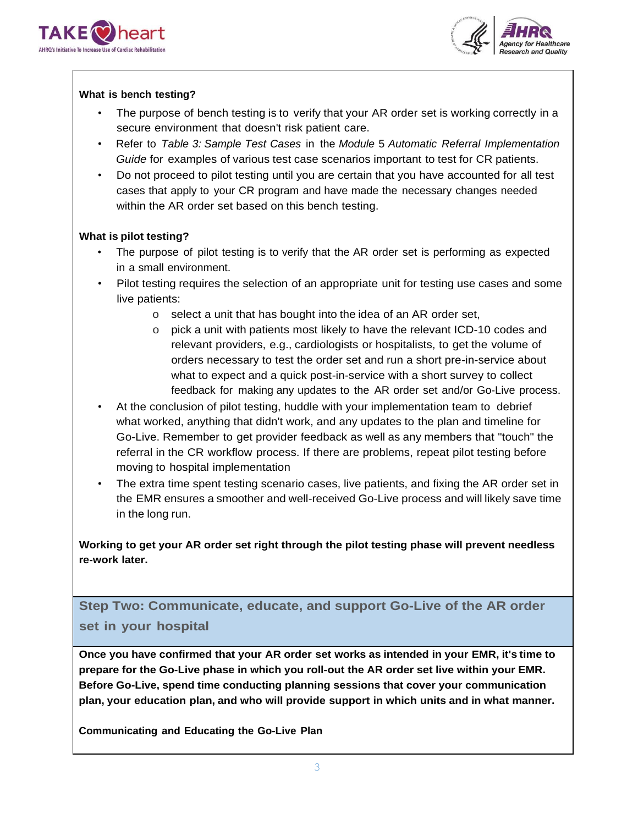



## **What is bench testing?**

- The purpose of bench testing is to verify that your AR order set is working correctly in a secure environment that doesn't risk patient care.
- Refer to *Table 3: Sample Test Cases* in the *Module* 5 *Automatic Referral Implementation Guide* for examples of various test case scenarios important to test for CR patients.
- Do not proceed to pilot testing until you are certain that you have accounted for all test cases that apply to your CR program and have made the necessary changes needed within the AR order set based on this bench testing.

## **What is pilot testing?**

- The purpose of pilot testing is to verify that the AR order set is performing as expected in a small environment.
- Pilot testing requires the selection of an appropriate unit for testing use cases and some live patients:
	- o select a unit that has bought into the idea of an AR order set,
	- o pick a unit with patients most likely to have the relevant ICD-10 codes and relevant providers, e.g., cardiologists or hospitalists, to get the volume of orders necessary to test the order set and run a short pre-in-service about what to expect and a quick post-in-service with a short survey to collect feedback for making any updates to the AR order set and/or Go-Live process.
- At the conclusion of pilot testing, huddle with your implementation team to debrief what worked, anything that didn't work, and any updates to the plan and timeline for Go-Live. Remember to get provider feedback as well as any members that "touch" the referral in the CR workflow process. If there are problems, repeat pilot testing before moving to hospital implementation
- The extra time spent testing scenario cases, live patients, and fixing the AR order set in the EMR ensures a smoother and well-received Go-Live process and will likely save time in the long run.

**Working to get your AR order set right through the pilot testing phase will prevent needless re-work later.**

**Step Two: Communicate, educate, and support Go-Live of the AR order set in your hospital**

**Once you have confirmed that your AR order set works as intended in your EMR, it's time to prepare for the Go-Live phase in which you roll-out the AR order set live within your EMR. Before Go-Live, spend time conducting planning sessions that cover your communication plan, your education plan, and who will provide support in which units and in what manner.**

**Communicating and Educating the Go-Live Plan**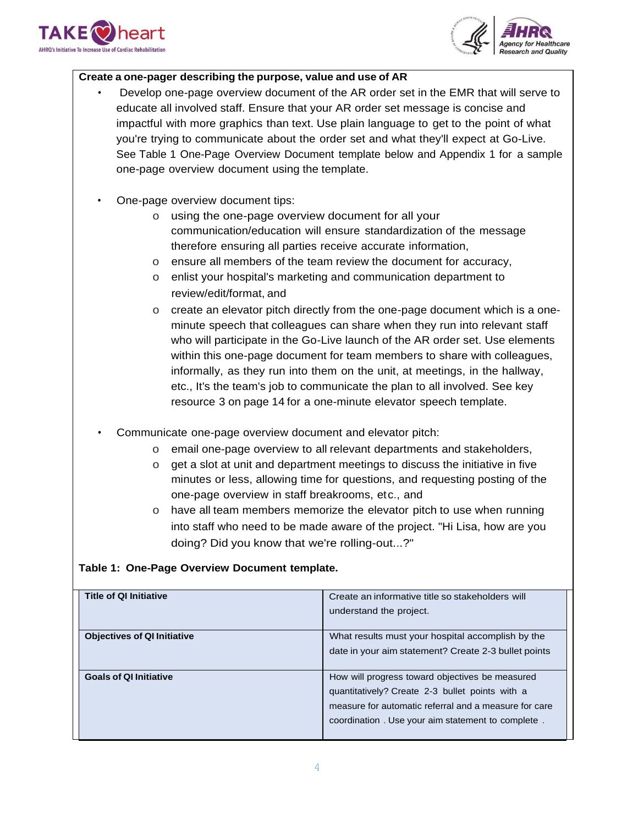



## **Create a one-pager describing the purpose, value and use of AR**

- Develop one-page overview document of the AR order set in the EMR that will serve to educate all involved staff. Ensure that your AR order set message is concise and impactful with more graphics than text. Use plain language to get to the point of what you're trying to communicate about the order set and what they'll expect at Go-Live. See Table 1 One-Page Overview Document template below and Appendix 1 for a sample one-page overview document using the template.
- One-page overview document tips:
	- o using the one-page overview document for all your communication/education will ensure standardization of the message therefore ensuring all parties receive accurate information,
	- o ensure all members of the team review the document for accuracy,
	- o enlist your hospital's marketing and communication department to review/edit/format, and
	- o create an elevator pitch directly from the one-page document which is a oneminute speech that colleagues can share when they run into relevant staff who will participate in the Go-Live launch of the AR order set. Use elements within this one-page document for team members to share with colleagues, informally, as they run into them on the unit, at meetings, in the hallway, etc., It's the team's job to communicate the plan to all involved. See key resource 3 on page 14 for a one-minute elevator speech template.
- Communicate one-page overview document and elevator pitch:
	- o email one-page overview to all relevant departments and stakeholders,
	- o get a slot at unit and department meetings to discuss the initiative in five minutes or less, allowing time for questions, and requesting posting of the one-page overview in staff breakrooms, etc., and
	- o have all team members memorize the elevator pitch to use when running into staff who need to be made aware of the project. "Hi Lisa, how are you doing? Did you know that we're rolling-out...?"

## **Table 1: One-Page Overview Document template.**

| <b>Title of QI Initiative</b>      | Create an informative title so stakeholders will      |
|------------------------------------|-------------------------------------------------------|
|                                    | understand the project.                               |
|                                    |                                                       |
| <b>Objectives of QI Initiative</b> | What results must your hospital accomplish by the     |
|                                    | date in your aim statement? Create 2-3 bullet points  |
|                                    |                                                       |
| <b>Goals of QI Initiative</b>      | How will progress toward objectives be measured       |
|                                    | quantitatively? Create 2-3 bullet points with a       |
|                                    | measure for automatic referral and a measure for care |
|                                    | coordination. Use your aim statement to complete.     |
|                                    |                                                       |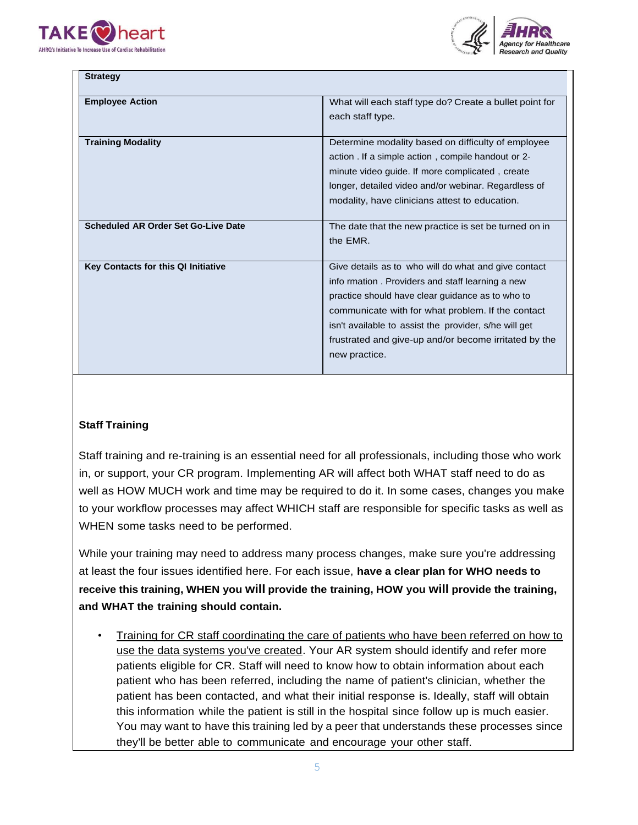



| <b>Strategy</b>                            |                                                         |
|--------------------------------------------|---------------------------------------------------------|
| <b>Employee Action</b>                     | What will each staff type do? Create a bullet point for |
|                                            | each staff type.                                        |
|                                            |                                                         |
| <b>Training Modality</b>                   | Determine modality based on difficulty of employee      |
|                                            | action. If a simple action, compile handout or 2-       |
|                                            | minute video guide. If more complicated, create         |
|                                            | longer, detailed video and/or webinar. Regardless of    |
|                                            | modality, have clinicians attest to education.          |
|                                            |                                                         |
| <b>Scheduled AR Order Set Go-Live Date</b> | The date that the new practice is set be turned on in   |
|                                            | the FMR.                                                |
|                                            |                                                         |
| Key Contacts for this QI Initiative        | Give details as to who will do what and give contact    |
|                                            | info rmation. Providers and staff learning a new        |
|                                            | practice should have clear guidance as to who to        |
|                                            | communicate with for what problem. If the contact       |
|                                            | isn't available to assist the provider, s/he will get   |
|                                            | frustrated and give-up and/or become irritated by the   |
|                                            | new practice.                                           |
|                                            |                                                         |

## **Staff Training**

Staff training and re-training is an essential need for all professionals, including those who work in, or support, your CR program. Implementing AR will affect both WHAT staff need to do as well as HOW MUCH work and time may be required to do it. In some cases, changes you make to your workflow processes may affect WHICH staff are responsible for specific tasks as well as WHEN some tasks need to be performed.

While your training may need to address many process changes, make sure you're addressing at least the four issues identified here. For each issue, **have a clear plan for WHO needs to receive this training, WHEN you will provide the training, HOW you will provide the training, and WHAT the training should contain.**

• Training for CR staff coordinating the care of patients who have been referred on how to use the data systems you've created. Your AR system should identify and refer more patients eligible for CR. Staff will need to know how to obtain information about each patient who has been referred, including the name of patient's clinician, whether the patient has been contacted, and what their initial response is. Ideally, staff will obtain this information while the patient is still in the hospital since follow up is much easier. You may want to have this training led by a peer that understands these processes since they'll be better able to communicate and encourage your other staff.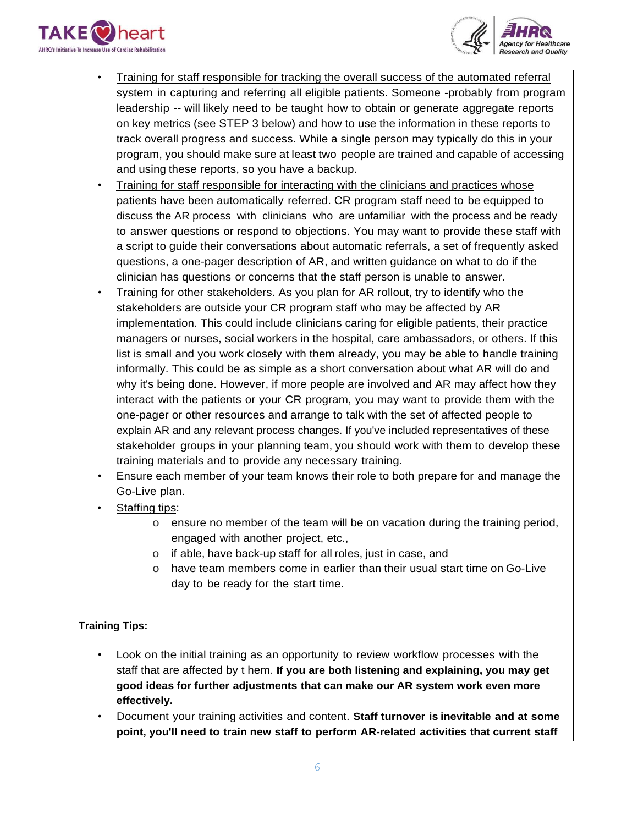



- Training for staff responsible for tracking the overall success of the automated referral system in capturing and referring all eligible patients. Someone -probably from program leadership -- will likely need to be taught how to obtain or generate aggregate reports on key metrics (see STEP 3 below) and how to use the information in these reports to track overall progress and success. While a single person may typically do this in your program, you should make sure at least two people are trained and capable of accessing and using these reports, so you have a backup.
- Training for staff responsible for interacting with the clinicians and practices whose patients have been automatically referred. CR program staff need to be equipped to discuss the AR process with clinicians who are unfamiliar with the process and be ready to answer questions or respond to objections. You may want to provide these staff with a script to guide their conversations about automatic referrals, a set of frequently asked questions, a one-pager description of AR, and written guidance on what to do if the clinician has questions or concerns that the staff person is unable to answer.
- Training for other stakeholders. As you plan for AR rollout, try to identify who the stakeholders are outside your CR program staff who may be affected by AR implementation. This could include clinicians caring for eligible patients, their practice managers or nurses, social workers in the hospital, care ambassadors, or others. If this list is small and you work closely with them already, you may be able to handle training informally. This could be as simple as a short conversation about what AR will do and why it's being done. However, if more people are involved and AR may affect how they interact with the patients or your CR program, you may want to provide them with the one-pager or other resources and arrange to talk with the set of affected people to explain AR and any relevant process changes. If you've included representatives of these stakeholder groups in your planning team, you should work with them to develop these training materials and to provide any necessary training.
- Ensure each member of your team knows their role to both prepare for and manage the Go-Live plan.
- Staffing tips:
	- o ensure no member of the team will be on vacation during the training period, engaged with another project, etc.,
	- o if able, have back-up staff for all roles, just in case, and
	- o have team members come in earlier than their usual start time on Go-Live day to be ready for the start time.

# **Training Tips:**

- Look on the initial training as an opportunity to review workflow processes with the staff that are affected by t hem. **If you are both listening and explaining, you may get good ideas for further adjustments that can make our AR system work even more effectively.**
- Document your training activities and content. **Staff turnover is inevitable and at some point, you'll need to train new staff to perform AR-related activities that current staff**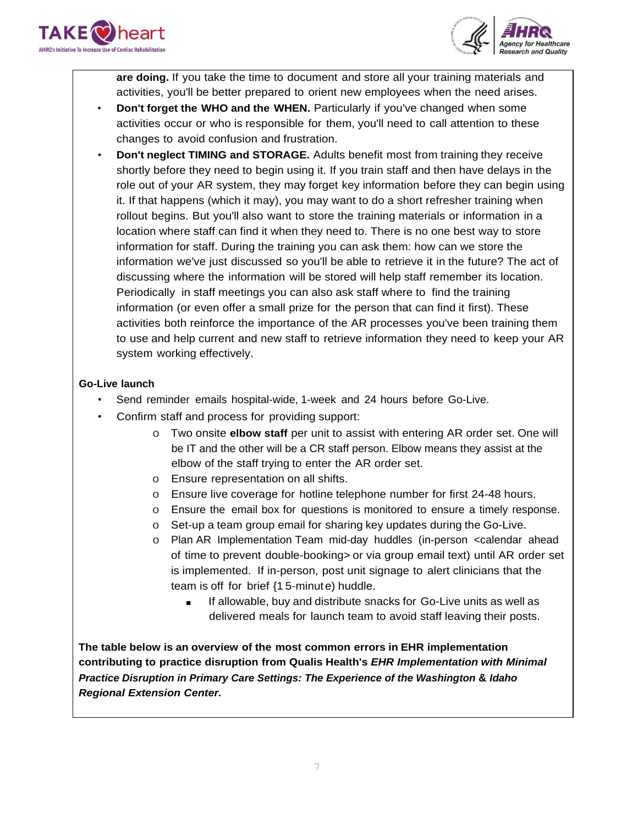



**are doing.** If you take the time to document and store all your training materials and activities, you'll be better prepared to orient new employees when the need arises.

- **Don't forget the WHO and the WHEN.** Particularly if you've changed when some activities occur or who is responsible for them, you'll need to call attention to these changes to avoid confusion and frustration.
- **Don't neglect TIMING and STORAGE.** Adults benefit most from training they receive shortly before they need to begin using it. If you train staff and then have delays in the role out of your AR system, they may forget key information before they can begin using it. If that happens (which it may), you may want to do a short refresher training when rollout begins. But you'll also want to store the training materials or information in a location where staff can find it when they need to. There is no one best way to store information for staff. During the training you can ask them: how can we store the information we've just discussed so you'll be able to retrieve it in the future? The act of discussing where the information will be stored will help staff remember its location. Periodically in staff meetings you can also ask staff where to find the training information (or even offer a small prize for the person that can find it first). These activities both reinforce the importance of the AR processes you've been training them to use and help current and new staff to retrieve information they need to keep your AR system working effectively.

# **Go-Live launch**

- Send reminder emails hospital-wide, 1-week and 24 hours before Go-Live.
- Confirm staff and process for providing support:
	- o Two onsite **elbow staff** per unit to assist with entering AR order set. One will be IT and the other will be a CR staff person. Elbow means they assist at the elbow of the staff trying to enter the AR order set.
	- o Ensure representation on all shifts.
	- o Ensure live coverage for hotline telephone number for first 24-48 hours.
	- o Ensure the email box for questions is monitored to ensure a timely response.
	- o Set-up a team group email for sharing key updates during the Go-Live.
	- o Plan AR Implementation Team mid-day huddles (in-person <calendar ahead of time to prevent double-booking> or via group email text) until AR order set is implemented. If in-person, post unit signage to alert clinicians that the team is off for brief {1 5-minute) huddle.
		- If allowable, buy and distribute snacks for Go-Live units as well as delivered meals for launch team to avoid staff leaving their posts.

**The table below is an overview of the most common errors in EHR implementation contributing to practice disruption from Qualis Health's** *EHR Implementation with Minimal Practice Disruption in Primary Care Settings: The Experience of the Washington* **&** *Idaho Regional Extension Center.*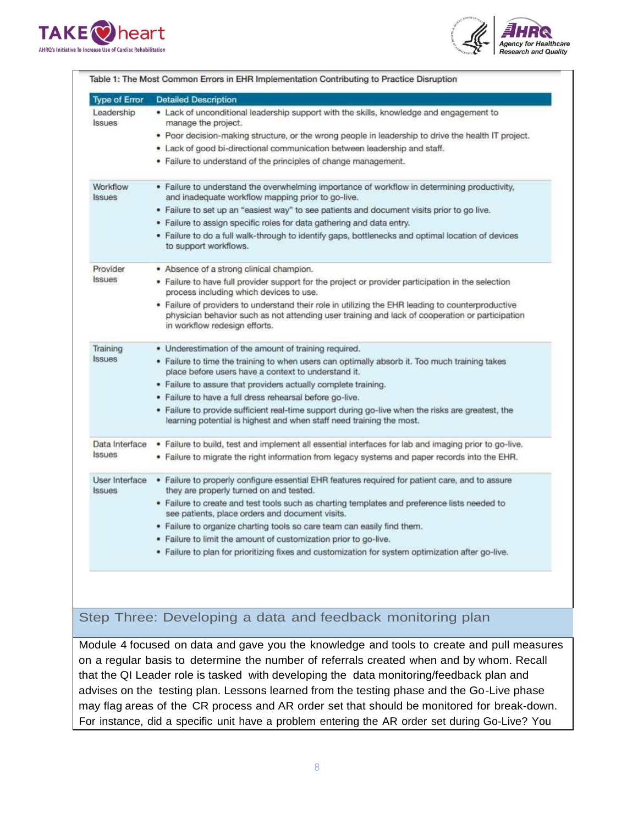



| <b>Type of Error</b>            | <b>Detailed Description</b>                                                                                                                                                                                                           |
|---------------------------------|---------------------------------------------------------------------------------------------------------------------------------------------------------------------------------------------------------------------------------------|
| Leadership<br><b>Issues</b>     | • Lack of unconditional leadership support with the skills, knowledge and engagement to<br>manage the project.                                                                                                                        |
|                                 | • Poor decision-making structure, or the wrong people in leadership to drive the health IT project.                                                                                                                                   |
|                                 | . Lack of good bi-directional communication between leadership and staff.                                                                                                                                                             |
|                                 | • Failure to understand of the principles of change management.                                                                                                                                                                       |
| Workflow<br><b>Issues</b>       | • Failure to understand the overwhelming importance of workflow in determining productivity,<br>and inadequate workflow mapping prior to go-live.                                                                                     |
|                                 | . Failure to set up an "easiest way" to see patients and document visits prior to go live.                                                                                                                                            |
|                                 | • Failure to assign specific roles for data gathering and data entry.                                                                                                                                                                 |
|                                 | . Failure to do a full walk-through to identify gaps, bottlenecks and optimal location of devices<br>to support workflows.                                                                                                            |
| Provider                        | • Absence of a strong clinical champion.                                                                                                                                                                                              |
| <b>Issues</b>                   | . Failure to have full provider support for the project or provider participation in the selection<br>process including which devices to use.                                                                                         |
|                                 | • Failure of providers to understand their role in utilizing the EHR leading to counterproductive<br>physician behavior such as not attending user training and lack of cooperation or participation<br>in workflow redesign efforts. |
| Training                        | • Underestimation of the amount of training required.                                                                                                                                                                                 |
| <b>Issues</b>                   | • Failure to time the training to when users can optimally absorb it. Too much training takes<br>place before users have a context to understand it.                                                                                  |
|                                 | . Failure to assure that providers actually complete training.                                                                                                                                                                        |
|                                 | . Failure to have a full dress rehearsal before go-live.                                                                                                                                                                              |
|                                 | . Failure to provide sufficient real-time support during go-live when the risks are greatest, the<br>learning potential is highest and when staff need training the most.                                                             |
| Data Interface                  | . Failure to build, test and implement all essential interfaces for lab and imaging prior to go-live.                                                                                                                                 |
| <b>Issues</b>                   | . Failure to migrate the right information from legacy systems and paper records into the EHR.                                                                                                                                        |
| User Interface<br><b>Issues</b> | . Failure to properly configure essential EHR features required for patient care, and to assure<br>they are properly turned on and tested.                                                                                            |
|                                 | . Failure to create and test tools such as charting templates and preference lists needed to<br>see patients, place orders and document visits.                                                                                       |
|                                 | . Failure to organize charting tools so care team can easily find them.                                                                                                                                                               |
|                                 | . Failure to limit the amount of customization prior to go-live.                                                                                                                                                                      |
|                                 | . Failure to plan for prioritizing fixes and customization for system optimization after go-live.                                                                                                                                     |

# Step Three: Developing a data and feedback monitoring plan

Module 4 focused on data and gave you the knowledge and tools to create and pull measures on a regular basis to determine the number of referrals created when and by whom. Recall that the QI Leader role is tasked with developing the data monitoring/feedback plan and advises on the testing plan. Lessons learned from the testing phase and the Go-Live phase may flag areas of the CR process and AR order set that should be monitored for break-down. For instance, did a specific unit have a problem entering the AR order set during Go-Live? You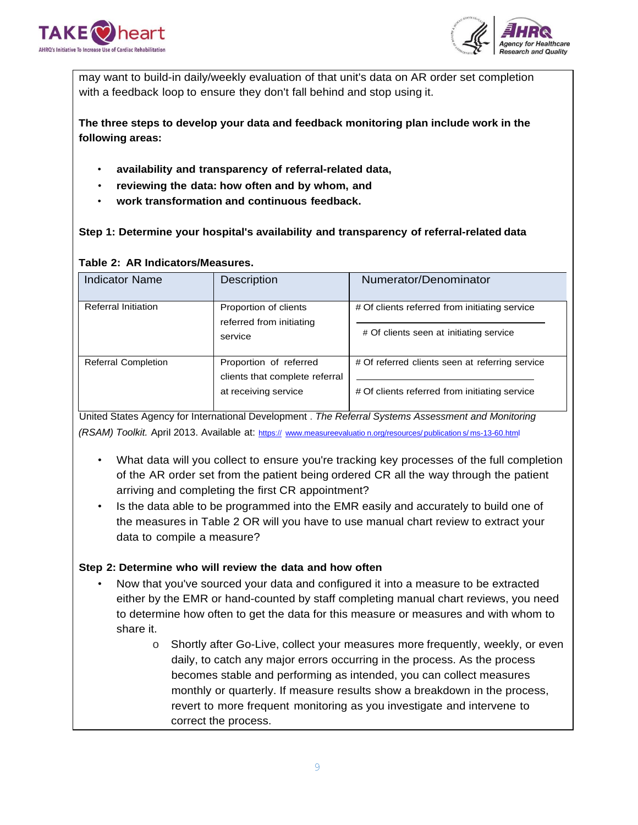



may want to build-in daily/weekly evaluation of that unit's data on AR order set completion with a feedback loop to ensure they don't fall behind and stop using it.

**The three steps to develop your data and feedback monitoring plan include work in the following areas:**

- **availability and transparency of referral-related data,**
- **reviewing the data: how often and by whom, and**
- **work transformation and continuous feedback.**

# **Step 1: Determine your hospital's availability and transparency of referral-related data**

| <b>Indicator Name</b>      | Description                                                                      | Numerator/Denominator                                                                            |
|----------------------------|----------------------------------------------------------------------------------|--------------------------------------------------------------------------------------------------|
| <b>Referral Initiation</b> | Proportion of clients<br>referred from initiating<br>service                     | # Of clients referred from initiating service<br># Of clients seen at initiating service         |
| <b>Referral Completion</b> | Proportion of referred<br>clients that complete referral<br>at receiving service | # Of referred clients seen at referring service<br># Of clients referred from initiating service |

## **Table 2: AR Indicators/Measures.**

United States Agency for International Development . *The Referral Systems Assessment and Monitoring (RSAM)* Toolkit. April 2013. Available at: https:// [www.measureevaluatio](http://www.measureevaluation.org/resources/publications/ms-13-60.html) n.org/resources/ publication s/ms-13-60.html

- What data will you collect to ensure you're tracking key processes of the full completion of the AR order set from the patient being ordered CR all the way through the patient arriving and completing the first CR appointment?
- Is the data able to be programmed into the EMR easily and accurately to build one of the measures in Table 2 OR will you have to use manual chart review to extract your data to compile a measure?

# **Step 2: Determine who will review the data and how often**

- Now that you've sourced your data and configured it into a measure to be extracted either by the EMR or hand-counted by staff completing manual chart reviews, you need to determine how often to get the data for this measure or measures and with whom to share it.
	- o Shortly after Go-Live, collect your measures more frequently, weekly, or even daily, to catch any major errors occurring in the process. As the process becomes stable and performing as intended, you can collect measures monthly or quarterly. If measure results show a breakdown in the process, revert to more frequent monitoring as you investigate and intervene to correct the process.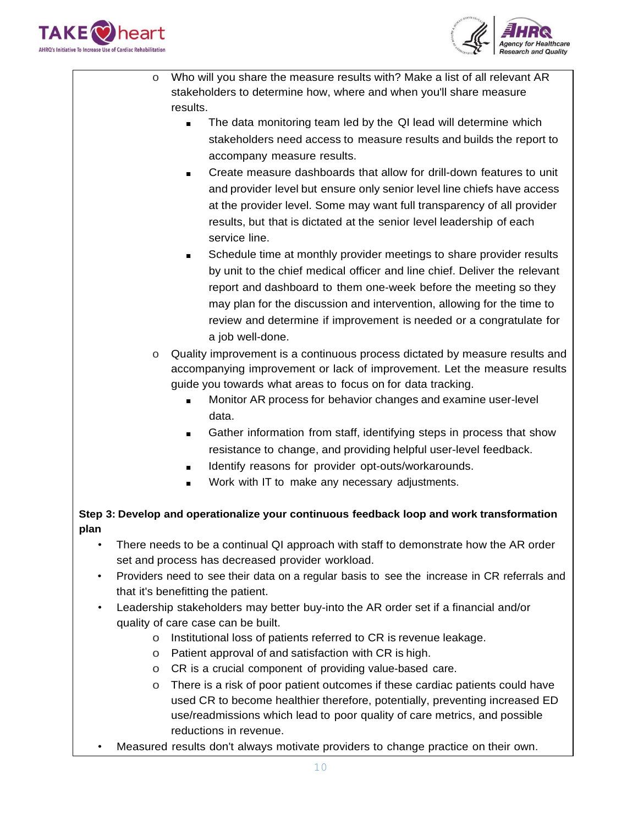



- o Who will you share the measure results with? Make a list of all relevant AR stakeholders to determine how, where and when you'll share measure results.
	- The data monitoring team led by the QI lead will determine which stakeholders need access to measure results and builds the report to accompany measure results.
	- Create measure dashboards that allow for drill-down features to unit and provider level but ensure only senior level line chiefs have access at the provider level. Some may want full transparency of all provider results, but that is dictated at the senior level leadership of each service line.
	- Schedule time at monthly provider meetings to share provider results by unit to the chief medical officer and line chief. Deliver the relevant report and dashboard to them one-week before the meeting so they may plan for the discussion and intervention, allowing for the time to review and determine if improvement is needed or a congratulate for a job well-done.
	- o Quality improvement is a continuous process dictated by measure results and accompanying improvement or lack of improvement. Let the measure results guide you towards what areas to focus on for data tracking.
		- Monitor AR process for behavior changes and examine user-level data.
		- Gather information from staff, identifying steps in process that show resistance to change, and providing helpful user-level feedback.
		- Identify reasons for provider opt-outs/workarounds.
		- Work with IT to make any necessary adjustments.

# **Step 3: Develop and operationalize your continuous feedback loop and work transformation plan**

- There needs to be a continual QI approach with staff to demonstrate how the AR order set and process has decreased provider workload.
- Providers need to see their data on a regular basis to see the increase in CR referrals and that it's benefitting the patient.
- Leadership stakeholders may better buy-into the AR order set if a financial and/or quality of care case can be built.
	- o Institutional loss of patients referred to CR is revenue leakage.
	- o Patient approval of and satisfaction with CR is high.
	- o CR is a crucial component of providing value-based care.
	- o There is a risk of poor patient outcomes if these cardiac patients could have used CR to become healthier therefore, potentially, preventing increased ED use/readmissions which lead to poor quality of care metrics, and possible reductions in revenue.
- Measured results don't always motivate providers to change practice on their own.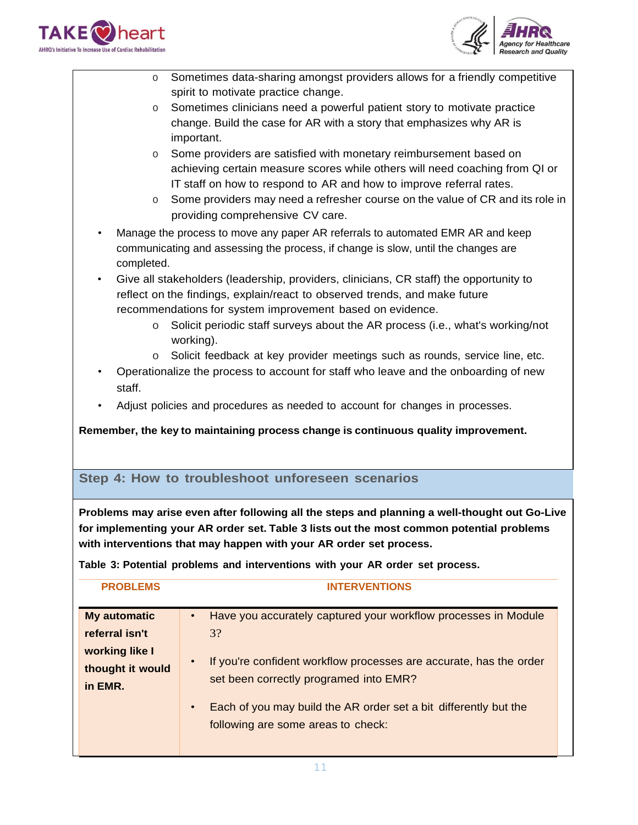



- o Sometimes data-sharing amongst providers allows for a friendly competitive spirit to motivate practice change.
- o Sometimes clinicians need a powerful patient story to motivate practice change. Build the case for AR with a story that emphasizes why AR is important.
- o Some providers are satisfied with monetary reimbursement based on achieving certain measure scores while others will need coaching from QI or IT staff on how to respond to AR and how to improve referral rates.
- o Some providers may need a refresher course on the value of CR and its role in providing comprehensive CV care.
- Manage the process to move any paper AR referrals to automated EMR AR and keep communicating and assessing the process, if change is slow, until the changes are completed.
- Give all stakeholders (leadership, providers, clinicians, CR staff) the opportunity to reflect on the findings, explain/react to observed trends, and make future recommendations for system improvement based on evidence.
	- o Solicit periodic staff surveys about the AR process (i.e., what's working/not working).
	- o Solicit feedback at key provider meetings such as rounds, service line, etc.
- Operationalize the process to account for staff who leave and the onboarding of new staff.
- Adjust policies and procedures as needed to account for changes in processes.

**Remember, the key to maintaining process change is continuous quality improvement.**

# **Step 4: How to troubleshoot unforeseen scenarios**

**Problems may arise even after following all the steps and planning a well-thought out Go-Live for implementing your AR order set. Table 3 lists out the most common potential problems with interventions that may happen with your AR order set process.**

**Table 3: Potential problems and interventions with your AR order set process.**

| <b>PROBLEMS</b>                                                                        | <b>INTERVENTIONS</b>                                                                                                                                                                                                                                                                                                     |
|----------------------------------------------------------------------------------------|--------------------------------------------------------------------------------------------------------------------------------------------------------------------------------------------------------------------------------------------------------------------------------------------------------------------------|
| <b>My automatic</b><br>referral isn't<br>working like I<br>thought it would<br>in EMR. | Have you accurately captured your workflow processes in Module<br>3?<br>If you're confident workflow processes are accurate, has the order<br>$\bullet$<br>set been correctly programed into EMR?<br>Each of you may build the AR order set a bit differently but the<br>$\bullet$<br>following are some areas to check: |
|                                                                                        |                                                                                                                                                                                                                                                                                                                          |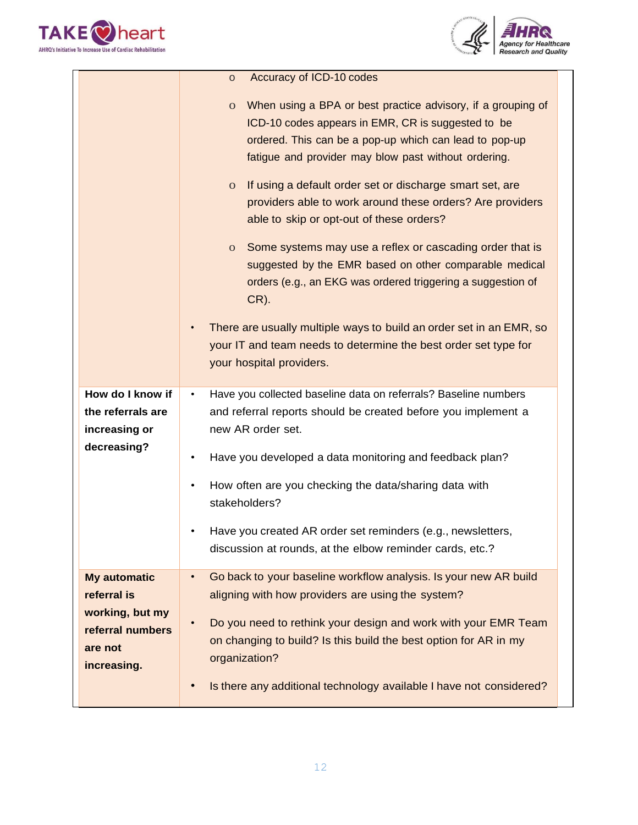



|                     | Accuracy of ICD-10 codes<br>O                                                                                                                                                                                                                        |
|---------------------|------------------------------------------------------------------------------------------------------------------------------------------------------------------------------------------------------------------------------------------------------|
|                     | When using a BPA or best practice advisory, if a grouping of<br>$\mathbf{O}$<br>ICD-10 codes appears in EMR, CR is suggested to be<br>ordered. This can be a pop-up which can lead to pop-up<br>fatigue and provider may blow past without ordering. |
|                     | If using a default order set or discharge smart set, are<br>$\mathbf{O}$<br>providers able to work around these orders? Are providers<br>able to skip or opt-out of these orders?                                                                    |
|                     | Some systems may use a reflex or cascading order that is<br>$\mathbf{O}$<br>suggested by the EMR based on other comparable medical<br>orders (e.g., an EKG was ordered triggering a suggestion of<br>$CR$ ).                                         |
|                     | There are usually multiple ways to build an order set in an EMR, so<br>your IT and team needs to determine the best order set type for<br>your hospital providers.                                                                                   |
| How do I know if    | Have you collected baseline data on referrals? Baseline numbers<br>٠                                                                                                                                                                                 |
| the referrals are   | and referral reports should be created before you implement a                                                                                                                                                                                        |
| increasing or       | new AR order set.                                                                                                                                                                                                                                    |
|                     |                                                                                                                                                                                                                                                      |
| decreasing?         | Have you developed a data monitoring and feedback plan?<br>٠                                                                                                                                                                                         |
|                     | How often are you checking the data/sharing data with                                                                                                                                                                                                |
|                     | stakeholders?                                                                                                                                                                                                                                        |
|                     |                                                                                                                                                                                                                                                      |
|                     | Have you created AR order set reminders (e.g., newsletters,                                                                                                                                                                                          |
|                     | discussion at rounds, at the elbow reminder cards, etc.?                                                                                                                                                                                             |
| <b>My automatic</b> | Go back to your baseline workflow analysis. Is your new AR build<br>$\bullet$                                                                                                                                                                        |
| referral is         | aligning with how providers are using the system?                                                                                                                                                                                                    |
| working, but my     | Do you need to rethink your design and work with your EMR Team                                                                                                                                                                                       |
| referral numbers    | on changing to build? Is this build the best option for AR in my                                                                                                                                                                                     |
| are not             | organization?                                                                                                                                                                                                                                        |
| increasing.         |                                                                                                                                                                                                                                                      |
|                     | Is there any additional technology available I have not considered?                                                                                                                                                                                  |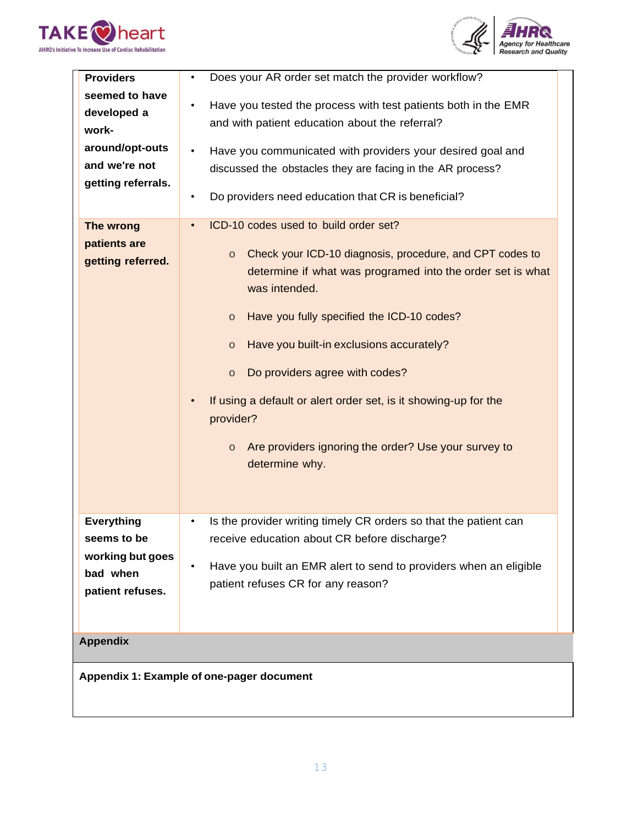



| <b>Providers</b>                                                                                 | Does your AR order set match the provider workflow?<br>$\bullet$                                                                                                                                                                                                                                                                                                                                                                                                                                                                           |
|--------------------------------------------------------------------------------------------------|--------------------------------------------------------------------------------------------------------------------------------------------------------------------------------------------------------------------------------------------------------------------------------------------------------------------------------------------------------------------------------------------------------------------------------------------------------------------------------------------------------------------------------------------|
| seemed to have<br>developed a<br>work-<br>around/opt-outs<br>and we're not<br>getting referrals. | Have you tested the process with test patients both in the EMR<br>$\bullet$<br>and with patient education about the referral?<br>Have you communicated with providers your desired goal and<br>discussed the obstacles they are facing in the AR process?<br>Do providers need education that CR is beneficial?                                                                                                                                                                                                                            |
| The wrong<br>patients are<br>getting referred.                                                   | ICD-10 codes used to build order set?<br>$\bullet$<br>Check your ICD-10 diagnosis, procedure, and CPT codes to<br>$\circ$<br>determine if what was programed into the order set is what<br>was intended.<br>Have you fully specified the ICD-10 codes?<br>$\circ$<br>Have you built-in exclusions accurately?<br>$\circ$<br>Do providers agree with codes?<br>$\circ$<br>If using a default or alert order set, is it showing-up for the<br>provider?<br>Are providers ignoring the order? Use your survey to<br>$\circ$<br>determine why. |
| <b>Everything</b><br>seems to be<br>working but goes<br>bad when<br>patient refuses.             | Is the provider writing timely CR orders so that the patient can<br>$\bullet$<br>receive education about CR before discharge?<br>Have you built an EMR alert to send to providers when an eligible<br>patient refuses CR for any reason?                                                                                                                                                                                                                                                                                                   |
| <b>Appendix</b>                                                                                  |                                                                                                                                                                                                                                                                                                                                                                                                                                                                                                                                            |
| Appendix 1: Example of one-pager document                                                        |                                                                                                                                                                                                                                                                                                                                                                                                                                                                                                                                            |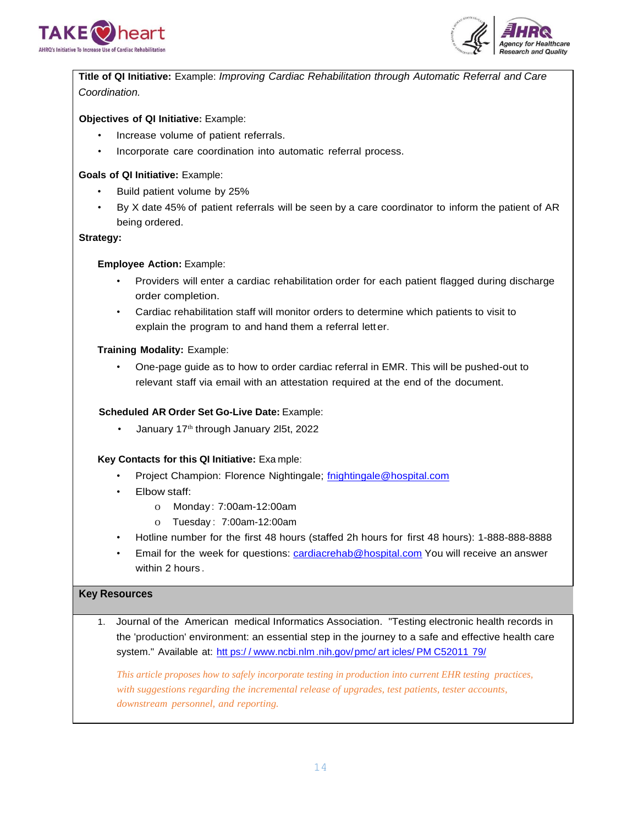



**Title of QI Initiative:** Example: *Improving Cardiac Rehabilitation through Automatic Referral and Care Coordination.*

### **Objectives of QI Initiative:** Example:

- Increase volume of patient referrals.
- Incorporate care coordination into automatic referral process.

#### **Goals of QI Initiative:** Example:

- Build patient volume by 25%
- By X date 45% of patient referrals will be seen by a care coordinator to inform the patient of AR being ordered.

#### **Strategy:**

#### **Employee Action:** Example:

- Providers will enter a cardiac rehabilitation order for each patient flagged during discharge order completion.
- Cardiac rehabilitation staff will monitor orders to determine which patients to visit to explain the program to and hand them a referral letter.

#### **Training Modality:** Example:

• One-page guide as to how to order cardiac referral in EMR. This will be pushed-out to relevant staff via email with an attestation required at the end of the document.

#### **Scheduled AR Order Set Go-Live Date:** Example:

January 17<sup>th</sup> through January 2l5t, 2022

#### **Key Contacts for this QI Initiative:** Exa mple:

- Project Champion: Florence Nightingale; [fnightingale@hospital.com](mailto:fnightingale@hospital.com)
- Elbow staff:
	- o Monday : 7:00am-12:00am
	- o Tuesday : 7:00am-12:00am
- Hotline number for the first 48 hours (staffed 2h hours for first 48 hours): 1-888-888-8888
- Email for the week for questions: [cardiacrehab@hospital.com](mailto:cardiacrehab@hospital.com) You will receive an answer within 2 hours .

#### **Key Resources**

1. Journal of the American medical Informatics Association. "Testing electronic health records in the 'production' environment: an essential step in the journey to a safe and effective health care system." Available at: htt ps:/ / [www.ncbi.nlm](http://www.ncbi.nlm.nih.gov/pmc/articles/PMC5201179/) .nih.gov/pmc/ art icles/ PM C52011 79/

*This article proposes how to safely incorporate testing in production into current EHR testing practices, with suggestions regarding the incremental release of upgrades, test patients, tester accounts, downstream personnel, and reporting.*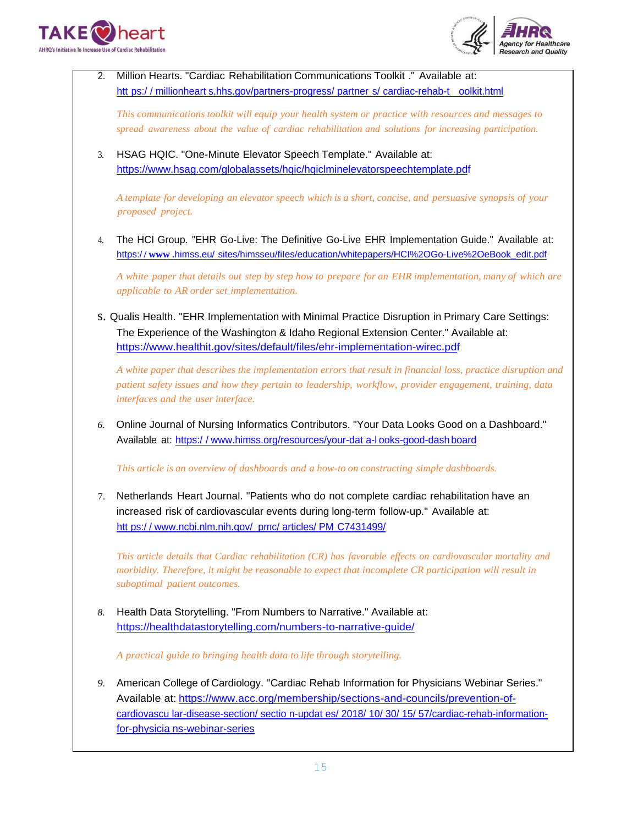



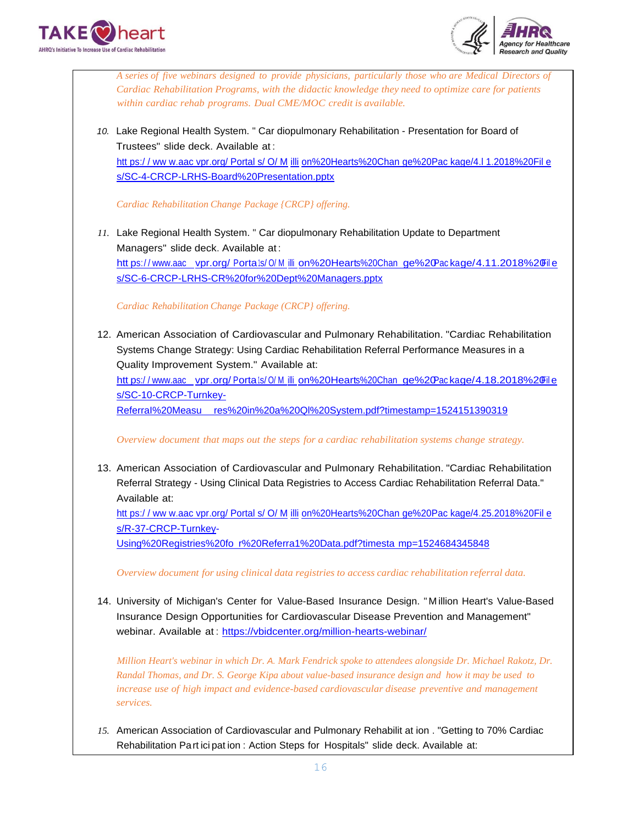



*A series of five webinars designed to provide physicians, particularly those who are Medical Directors of Cardiac Rehabilitation Programs, with the didactic knowledge they need to optimize care for patients within cardiac rehab programs. Dual CME/MOC credit is available.*

*10.* Lake Regional Health System. " Car diopulmonary Rehabilitation - Presentation for Board of Trustees" slide deck. Available at : htt ps:/ / ww w.aac vpr.org/ Portal s/ O/ M illi on%20Hearts%20Chan [ge%20Pac kage/4.l 1.2018%20Fil e](http://www.aacvpr.org/Portals/O/Million%20Hearts%20Change%20Package/4.l1.2018%20File) s/SC-4-CRCP-LRHS-Board%20Presentation.pptx

*Cardiac Rehabilitation Change Package {CRCP} offering.*

*11.* Lake Regional Health System. " Car diopulmonary Rehabilitation Update to Department Managers" slide deck. Available at : htt ps://www.aac vpr.org/ Porta1s/ 0/ M illi on%20Hearts%20Chan ge%20Pac kage/4.11.2018%20File s/SC-6-CRCP-LRHS-CR%20for%20Dept%20Managers.pptx

*Cardiac Rehabilitation Change Package (CRCP} offering.*

12. American Association of Cardiovascular and Pulmonary Rehabilitation. "Cardiac Rehabilitation Systems Change Strategy: Using Cardiac Rehabilitation Referral Performance Measures in a Quality Improvement System." Available at: htt ps://www.aac vpr.org/Porta1s/0/M illi on%20Hearts%20Chan ge%20Package/4.18.2018%20File s/SC-10-CRCP-Turnkey-ReferraI%20Measu res%20in%20a%20Ql%20System.pdf?timestamp=1524151390319

*Overview document that maps out the steps for a cardiac rehabilitation systems change strategy.*

13. American Association of Cardiovascular and Pulmonary Rehabilitation. "Cardiac Rehabilitation Referral Strategy - Using Clinical Data Registries to Access Cardiac Rehabilitation Referral Data." Available at:

htt ps:/ / ww w.aac vpr.org/ Portal s/ O/ M illi on%20Hearts%20Chan [ge%20Pac kage/4.25.2018%20Fil e](http://www.aacvpr.org/Portals/O/Million%20Hearts%20Change%20Package/4.25.2018%20File) s/R-37-CRCP-Turnkey-

Using%20Registries%20fo r%20Referra1%20Data.pdf?timesta mp=1524684345848

*Overview document for using clinical data registries to access cardiac rehabilitation referral data.*

14. University of Michigan's Center for Value-Based Insurance Design. " M illion Heart's Value-Based Insurance Design Opportunities for Cardiovascular Disease Prevention and Management" webinar. Available at : https://vbidcenter.org/million-hearts-webinar/

*Million Heart's webinar in which Dr. A. Mark Fendrick spoke to attendees alongside Dr. Michael Rakotz, Dr. Randal Thomas, and Dr. S. George Kipa about value-based insurance design and how it may be used to increase use of high impact and evidence-based cardiovascular disease preventive and management services.*

*15.* American Association of Cardiovascular and Pulmonary Rehabilit at ion . "Getting to 70% Cardiac Rehabilitation Part ici pat ion : Action Steps for Hospitals" slide deck. Available at: